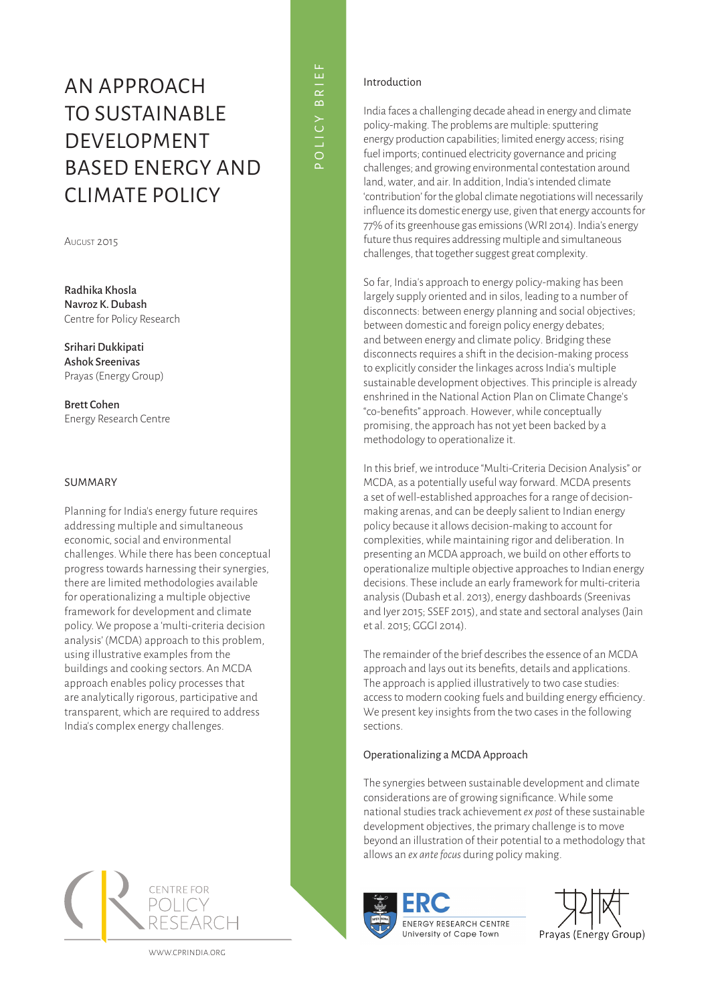# An Approach to Sustainable **DEVELOPMENT** Based Energy and Climate Policy

August 2015

Radhika Khosla Navroz K. Dubash Centre for Policy Research

Srihari Dukkipati Ashok Sreenivas Prayas (Energy Group)

Brett Cohen Energy Research Centre

# SUMMARY

Planning for India's energy future requires addressing multiple and simultaneous economic, social and environmental challenges. While there has been conceptual progress towards harnessing their synergies, there are limited methodologies available for operationalizing a multiple objective framework for development and climate policy. We propose a 'multi-criteria decision analysis' (MCDA) approach to this problem, using illustrative examples from the buildings and cooking sectors. An MCDA approach enables policy processes that are analytically rigorous, participative and transparent, which are required to address India's complex energy challenges.

**CENTRE FOR** 

www.cppindia.org

# pol ic y br i e f

# Introduction

India faces a challenging decade ahead in energy and climate policy-making. The problems are multiple: sputtering energy production capabilities; limited energy access; rising fuel imports; continued electricity governance and pricing challenges; and growing environmental contestation around land, water, and air. In addition, India's intended climate 'contribution' for the global climate negotiations will necessarily influence its domestic energy use, given that energy accounts for 77% of its greenhouse gas emissions (WRI 2014). India's energy future thus requires addressing multiple and simultaneous challenges, that together suggest great complexity.

So far, India's approach to energy policy-making has been largely supply oriented and in silos, leading to a number of disconnects: between energy planning and social objectives; between domestic and foreign policy energy debates; and between energy and climate policy. Bridging these disconnects requires a shift in the decision-making process to explicitly consider the linkages across India's multiple sustainable development objectives. This principle is already enshrined in the National Action Plan on Climate Change's "co-benefits" approach. However, while conceptually promising, the approach has not yet been backed by a methodology to operationalize it.

In this brief, we introduce "Multi-Criteria Decision Analysis" or MCDA, as a potentially useful way forward. MCDA presents a set of well-established approaches for a range of decisionmaking arenas, and can be deeply salient to Indian energy policy because it allows decision-making to account for complexities, while maintaining rigor and deliberation. In presenting an MCDA approach, we build on other efforts to operationalize multiple objective approaches to Indian energy decisions. These include an early framework for multi-criteria analysis (Dubash et al. 2013), energy dashboards (Sreenivas and Iyer 2015; SSEF 2015), and state and sectoral analyses (Jain et al. 2015; GGGI 2014).

The remainder of the brief describes the essence of an MCDA approach and lays out its benefits, details and applications. The approach is applied illustratively to two case studies: access to modern cooking fuels and building energy efficiency. We present key insights from the two cases in the following sections.

# Operationalizing a MCDA Approach

The synergies between sustainable development and climate considerations are of growing significance. While some national studies track achievement *ex post* of these sustainable development objectives, the primary challenge is to move beyond an illustration of their potential to a methodology that allows an *ex ante focus* during policy making.



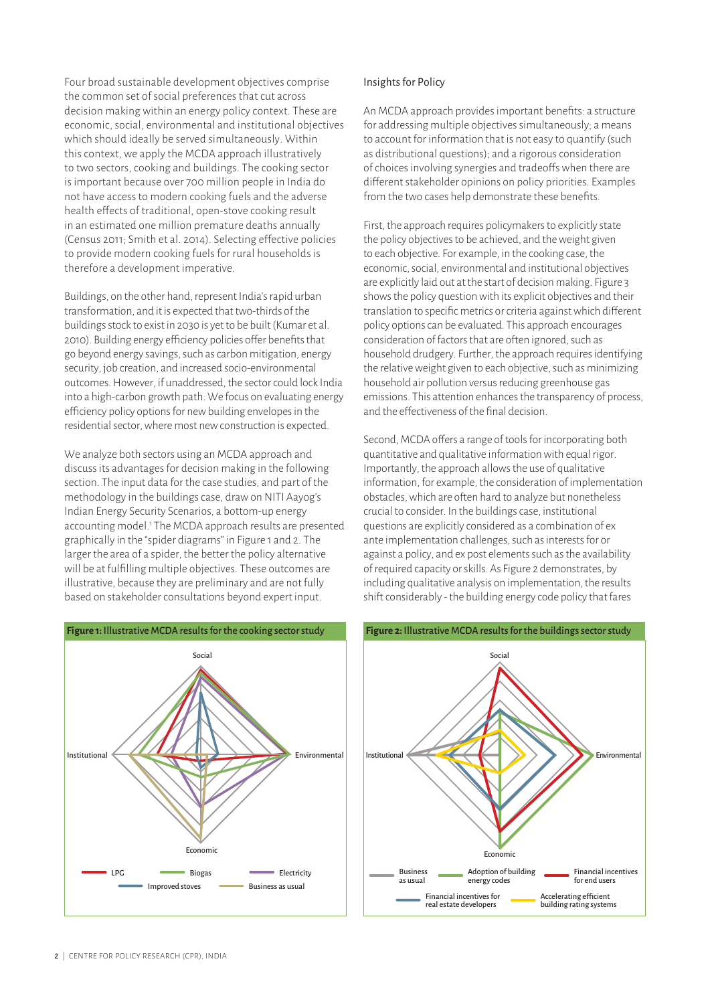Four broad sustainable development objectives comprise the common set of social preferences that cut across decision making within an energy policy context. These are economic, social, environmental and institutional objectives which should ideally be served simultaneously. Within this context, we apply the MCDA approach illustratively to two sectors, cooking and buildings. The cooking sector is important because over 700 million people in India do not have access to modern cooking fuels and the adverse health effects of traditional, open-stove cooking result in an estimated one million premature deaths annually (Census 2011; Smith et al. 2014). Selecting effective policies to provide modern cooking fuels for rural households is therefore a development imperative.

Buildings, on the other hand, represent India's rapid urban transformation, and it is expected that two-thirds of the buildings stock to exist in 2030 is yet to be built (Kumar et al. 2010). Building energy efficiency policies offer benefits that go beyond energy savings, such as carbon mitigation, energy security, job creation, and increased socio-environmental outcomes. However, if unaddressed, the sector could lock India into a high-carbon growth path. We focus on evaluating energy efficiency policy options for new building envelopes in the residential sector, where most new construction is expected.

We analyze both sectors using an MCDA approach and discuss its advantages for decision making in the following section. The input data for the case studies, and part of the methodology in the buildings case, draw on NITI Aayog's Indian Energy Security Scenarios, a bottom-up energy accounting model.<sup>1</sup> The MCDA approach results are presented graphically in the "spider diagrams" in Figure 1 and 2. The larger the area of a spider, the better the policy alternative will be at fulfilling multiple objectives. These outcomes are illustrative, because they are preliminary and are not fully based on stakeholder consultations beyond expert input.



An MCDA approach provides important benefits: a structure for addressing multiple objectives simultaneously; a means to account for information that is not easy to quantify (such as distributional questions); and a rigorous consideration of choices involving synergies and tradeoffs when there are different stakeholder opinions on policy priorities. Examples from the two cases help demonstrate these benefits.

First, the approach requires policymakers to explicitly state the policy objectives to be achieved, and the weight given to each objective. For example, in the cooking case, the economic, social, environmental and institutional objectives are explicitly laid out at the start of decision making. Figure 3 shows the policy question with its explicit objectives and their translation to specific metrics or criteria against which different policy options can be evaluated. This approach encourages consideration of factors that are often ignored, such as household drudgery. Further, the approach requires identifying the relative weight given to each objective, such as minimizing household air pollution versus reducing greenhouse gas emissions. This attention enhances the transparency of process, and the effectiveness of the final decision.

Second, MCDA offers a range of tools for incorporating both quantitative and qualitative information with equal rigor. Importantly, the approach allows the use of qualitative information, for example, the consideration of implementation obstacles, which are often hard to analyze but nonetheless crucial to consider. In the buildings case, institutional questions are explicitly considered as a combination of ex ante implementation challenges, such as interests for or against a policy, and ex post elements such as the availability of required capacity or skills. As Figure 2 demonstrates, by including qualitative analysis on implementation, the results shift considerably - the building energy code policy that fares

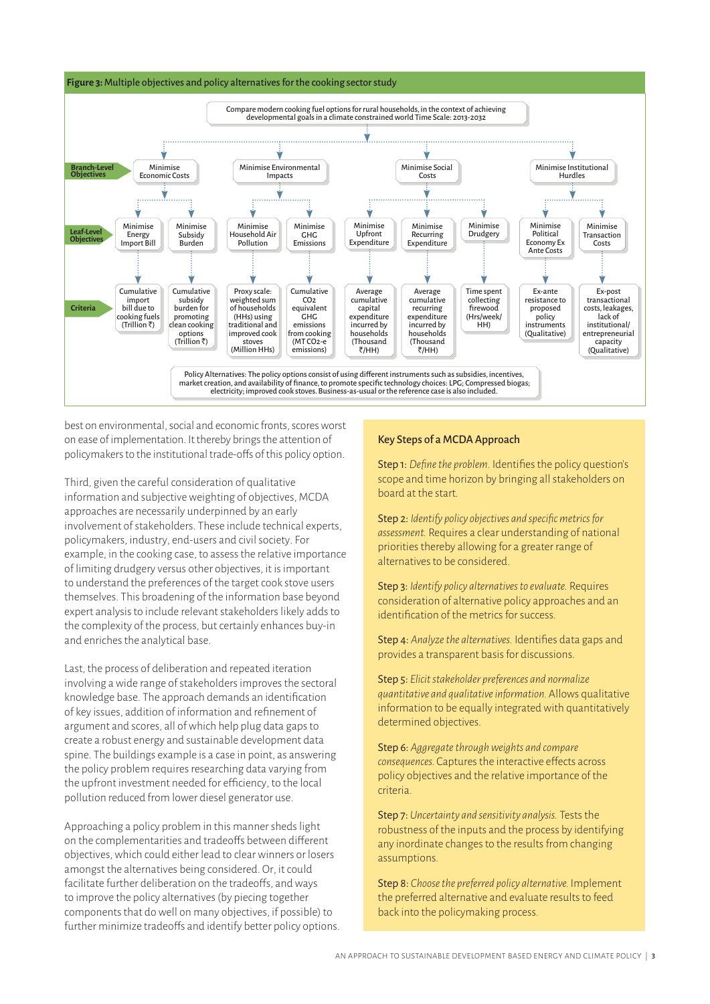



best on environmental, social and economic fronts, scores worst on ease of implementation. It thereby brings the attention of policymakers to the institutional trade-offs of this policy option.

Third, given the careful consideration of qualitative information and subjective weighting of objectives, MCDA approaches are necessarily underpinned by an early involvement of stakeholders. These include technical experts, policymakers, industry, end-users and civil society. For example, in the cooking case, to assess the relative importance of limiting drudgery versus other objectives, it is important to understand the preferences of the target cook stove users themselves. This broadening of the information base beyond expert analysis to include relevant stakeholders likely adds to the complexity of the process, but certainly enhances buy-in and enriches the analytical base.

Last, the process of deliberation and repeated iteration involving a wide range of stakeholders improves the sectoral knowledge base. The approach demands an identification of key issues, addition of information and refinement of argument and scores, all of which help plug data gaps to create a robust energy and sustainable development data spine. The buildings example is a case in point, as answering the policy problem requires researching data varying from the upfront investment needed for efficiency, to the local pollution reduced from lower diesel generator use.

Approaching a policy problem in this manner sheds light on the complementarities and tradeoffs between different objectives, which could either lead to clear winners or losers amongst the alternatives being considered. Or, it could facilitate further deliberation on the tradeoffs, and ways to improve the policy alternatives (by piecing together components that do well on many objectives, if possible) to further minimize tradeoffs and identify better policy options.

#### Key Steps of a MCDA Approach

Step 1: *Define the problem.* Identifies the policy question's scope and time horizon by bringing all stakeholders on board at the start.

Step 2: *Identify policy objectives and specific metrics for assessment.* Requires a clear understanding of national priorities thereby allowing for a greater range of alternatives to be considered.

Step 3: *Identify policy alternatives to evaluate.* Requires consideration of alternative policy approaches and an identification of the metrics for success.

Step 4: *Analyze the alternatives.* Identifies data gaps and provides a transparent basis for discussions.

Step 5: *Elicit stakeholder preferences and normalize quantitative and qualitative information.* Allows qualitative information to be equally integrated with quantitatively determined objectives.

Step 6: *Aggregate through weights and compare consequences.* Captures the interactive effects across policy objectives and the relative importance of the criteria.

Step 7: *Uncertainty and sensitivity analysis.* Tests the robustness of the inputs and the process by identifying any inordinate changes to the results from changing assumptions.

Step 8: *Choose the preferred policy alternative.* Implement the preferred alternative and evaluate results to feed back into the policymaking process.